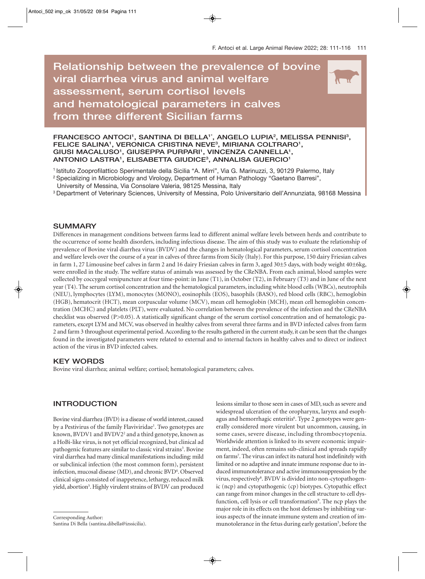# **Relationship between the prevalence of bovine viral diarrhea virus and animal welfare assessment, serum cortisol levels and hematological parameters in calves from three different Sicilian farms**



FRANCESCO ANTOCI<sup>1</sup>, SANTINA DI BELLA<sup>1\*</sup>, ANGELO LUPIA<sup>2</sup>, MELISSA PENNISI<sup>3</sup>, FELICE SALINA<sup>1</sup>, VERONICA CRISTINA NEVE<sup>3</sup>, MIRIANA COLTRARO<sup>1</sup>, GIUSI MACALUSO<sup>1</sup>, GIUSEPPA PURPARI<sup>1</sup>, VINCENZA CANNELLA<sup>1</sup>, **ANTONIO LASTRA1 , ELISABETTA GIUDICE3 , ANNALISA GUERCIO1**

1 Istituto Zooprofilattico Sperimentale della Sicilia "A. Mirri", Via G. Marinuzzi, 3, 90129 Palermo, Italy

<sup>2</sup> Specializing in Microbiology and Virology, Department of Human Pathology "Gaetano Barresi",

University of Messina, Via Consolare Valeria, 98125 Messina, Italy

3 Department of Veterinary Sciences, University of Messina, Polo Universitario dell'Annunziata, 98168 Messina

#### **SUMMARY**

Differences in management conditions between farms lead to different animal welfare levels between herds and contribute to the occurrence of some health disorders, including infectious disease. The aim of this study was to evaluate the relationship of prevalence of Bovine viral diarrhea virus (BVDV) and the changes in hematological parameters, serum cortisol concentration and welfare levels over the course of a year in calves of three farms from Sicily (Italy). For this purpose, 150 dairy Friesian calves in farm 1, 27 Limousine beef calves in farm 2 and 16 dairy Friesian calves in farm 3, aged 30±5 days, with body weight 40±6kg, were enrolled in the study. The welfare status of animals was assessed by the CReNBA. From each animal, blood samples were collected by coccygeal venipuncture at four time-point: in June (T1), in October (T2), in February (T3) and in June of the next year (T4). The serum cortisol concentration and the hematological parameters, including white blood cells (WBCs), neutrophils (NEU), lymphocytes (LYM), monocytes (MONO), eosinophils (EOS), basophils (BASO), red blood cells (RBC), hemoglobin (HGB), hematocrit (HCT), mean corpuscular volume (MCV), mean cell hemoglobin (MCH), mean cell hemoglobin concentration (MCHC) and platelets (PLT), were evaluated. No correlation between the prevalence of the infection and the CReNBA checklist was observed (P>0.05). A statistically significant change of the serum cortisol concentration and of hematologic parameters, except LYM and MCV, was observed in healthy calves from several three farms and in BVD infected calves from farm 2 and farm 3 throughout experimental period. According to the results gathered in the current study, it can be seen that the changes found in the investigated parameters were related to external and to internal factors in healthy calves and to direct or indirect action of the virus in BVD infected calves.

#### **KEY WORDS**

Bovine viral diarrhea; animal welfare; cortisol; hematological parameters; calves.

#### **INTRODUCTION**

Bovine viral diarrhea (BVD) is a disease of world interest, caused by a Pestivirus of the family Flaviviridae<sup>1</sup>. Two genotypes are known, BVDV1 and BVDV2<sup>2</sup> and a third genotype, known as a HoBi-like virus, is not yet official recognized, but clinical ad pathogenic features are similar to classic viral strains<sup>3</sup>. Bovine viral diarrhea had many clinical manifestations including: mild or subclinical infection (the most common form), persistent infection, mucosal disease (MD), and chronic BVD<sup>4</sup>. Observed clinical signs consisted of inappetence, lethargy, reduced milk yield, abortion<sup>5</sup>. Highly virulent strains of BVDV can produced

lesions similar to those seen in cases of MD, such as severe and widespread ulceration of the oropharynx, larynx and esophagus and hemorrhagic enteritis<sup>6</sup>. Type 2 genotypes were generally considered more virulent but uncommon, causing, in some cases, severe disease, including thrombocytopenia. Worldwide attention is linked to its severe economic impairment, indeed, often remains sub-clinical and spreads rapidly on farms<sup>7</sup>. The virus can infect its natural host indefinitely with limited or no adaptive and innate immune response due to induced immunotolerance and active immunosuppression by the virus, respectively<sup>8</sup>. BVDV is divided into non-cytopathogenic (ncp) and cytopathogenic (cp) biotypes. Cytopathic effect can range from minor changes in the cell structure to cell dysfunction, cell lysis or cell transformation<sup>9</sup>. The ncp plays the major role in its effects on the host defenses by inhibiting various aspects of the innate immune system and creation of immunotolerance in the fetus during early gestation<sup>5</sup>, before the

Santina Di Bella (santina.dibella@izssicilia).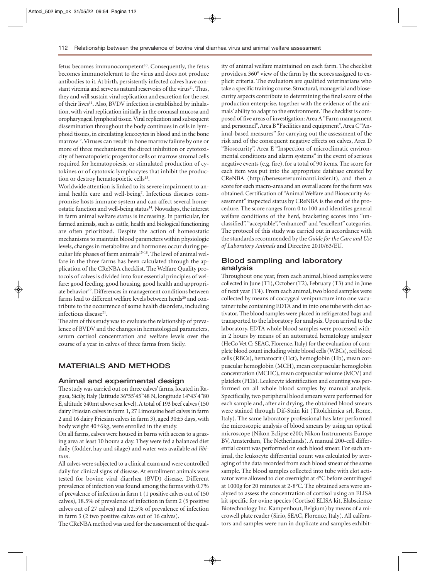fetus becomes immunocompetent<sup>10</sup>. Consequently, the fetus becomes immunotolerant to the virus and does not produce antibodies to it. At birth, persistently infected calves have constant viremia and serve as natural reservoirs of the virus<sup>11</sup>. Thus, they and will sustain viral replication and excretion for the rest of their lives<sup>11</sup>. Also, BVDV infection is established by inhalation, with viral replication initially in the oronasal mucosa and oropharyngeal lymphoid tissue. Viral replication and subsequent dissemination throughout the body continues in cells in lymphoid tissues, in circulating leucocytes in blood and in the bone marrow12. Viruses can result in bone marrow failure by one or more of three mechanisms: the direct inhibition or cytotoxicity of hematopoietic progenitor cells or marrow stromal cells required for hematopoiesis, or stimulated production of cytokines or of cytotoxic lymphocytes that inhibit the production or destroy hematopoietic cells<sup>13</sup>.

Worldwide attention is linked to its severe impairment to animal health care and well-being<sup>7</sup>. Infectious diseases compromise hosts immune system and can affect several homeostatic function and well-being status<sup>14</sup>. Nowadays, the interest in farm animal welfare status is increasing. In particular, for farmed animals, such as cattle, health and biological functioning are often prioritized. Despite the action of homeostatic mechanisms to maintain blood parameters within physiologic levels, changes in metabolites and hormones occur during peculiar life phases of farm animals<sup>15-18</sup>. The level of animal welfare in the three farms has been calculated through the application of the CReNBA checklist. The Welfare Quality protocols of calves is divided into four essential principles of welfare: good feeding, good housing, good health and appropriate behavior<sup>19</sup>. Differences in management conditions between farms lead to different welfare levels between herds<sup>20</sup> and contribute to the occurrence of some health disorders, including infectious disease<sup>21</sup>.

The aim of this study was to evaluate the relationship of prevalence of BVDV and the changes in hematological parameters, serum cortisol concentration and welfare levels over the course of a year in calves of three farms from Sicily.

# **MATERIALS AND METHODS**

#### **Animal and experimental design**

The study was carried out on three calves' farms, located in Ragusa, Sicily, Italy (latitude 36°55'45"48 N, longitude 14°43'4"80 E, altitude 540mt above sea level). A total of 193 beef calves (150 dairy Friesian calves in farm 1, 27 Limousine beef calves in farm 2 and 16 dairy Friesian calves in farm 3), aged 30±5 days, with body weight 40±6kg, were enrolled in the study.

On all farms, calves were housed in barns with access to a grazing area at least 10 hours a day. They were fed a balanced diet daily (fodder, hay and silage) and water was available *ad libitum*.

All calves were subjected to a clinical exam and were controlled daily for clinical signs of disease. At enrollment animals were tested for bovine viral diarrhea (BVD) disease. Different prevalence of infection was found among the farms with 0.7% of prevalence of infection in farm 1 (1 positive calves out of 150 calves), 18.5% of prevalence of infection in farm 2 (5 positive calves out of 27 calves) and 12.5% of prevalence of infection in farm 3 (2 two positive calves out of 16 calves).

The CReNBA method was used for the assessment of the qual-

ity of animal welfare maintained on each farm. The checklist provides a 360° view of the farm by the scores assigned to explicit criteria. The evaluators are qualified veterinarians who take a specific training course. Structural, managerial and biosecurity aspects contribute to determining the final score of the production enterprise, together with the evidence of the animals' ability to adapt to the environment. The checklist is composed of five areas of investigation: Area A "Farm management and personnel", Area B "Facilities and equipment", Area C "Animal-based measures" for carrying out the assessment of the risk and of the consequent negative effects on calves, Area D "Biosecurity", Area E "Inspection of microclimatic environmental conditions and alarm systems" in the event of serious negative events (e.g. fire), for a total of 90 items. The score for each item was put into the appropriate database created by CReNBA (http://benessereruminanti.izsler.it), and then a score for each macro-area and an overall score for the farm was obtained. Certification of "Animal Welfare and Biosecurity Assessment" inspected status by CReNBA is the end of the procedure. The score ranges from 0 to 100 and identifies general welfare conditions of the herd, bracketing scores into "unclassified", "acceptable", "enhanced" and "excellent" categories. The protocol of this study was carried out in accordance with the standards recommended by the *Guide for the Care and Use of Laboratory Animals* and Directive 2010/63/EU.

#### **Blood sampling and laboratory analysis**

Throughout one year, from each animal, blood samples were collected in June (T1), October (T2), February (T3) and in June of next year (T4). From each animal, two blood samples were collected by means of coccygeal venipuncture into one vacutainer tube containing EDTA and in into one tube with clot activator. The blood samples were placed in refrigerated bags and transported to the laboratory for analysis. Upon arrival to the laboratory, EDTA whole blood samples were processed within 2 hours by means of an automated hematology analyzer (HeCo Vet C; SEAC, Florence, Italy) for the evaluation of complete blood count including white blood cells (WBCs), red blood cells (RBCs), hematocrit (Hct), hemoglobin (Hb), mean corpuscular hemoglobin (MCH), mean corpuscular hemoglobin concentration (MCHC), mean corpuscular volume (MCV) and platelets (PLTs). Leukocyte identification and counting was performed on all whole blood samples by manual analysis. Specifically, two peripheral blood smears were performed for each sample and, after air drying, the obtained blood smears were stained through Dif-Stain kit (Titolchimica srl, Rome, Italy). The same laboratory professional has later performed the microscopic analysis of blood smears by using an optical microscope (Nikon Eclipse e200; Nikon Instruments Europe BV, Amsterdam, The Netherlands). A manual 200-cell differential count was performed on each blood smear. For each animal, the leukocyte differential count was calculated by averaging of the data recorded from each blood smear of the same sample. The blood samples collected into tube with clot activator were allowed to clot overnight at 4°C before centrifuged at 1000g for 20 minutes at 2-8°C. The obtained sera were analyzed to assess the concentration of cortisol using an ELISA kit specific for ovine species (Cortisol ELISA kit, Elabscience Biotechnology Inc. Kampenhout, Belgium) by means of a microwell plate reader (Sirio, SEAC, Florence, Italy). All calibrators and samples were run in duplicate and samples exhibit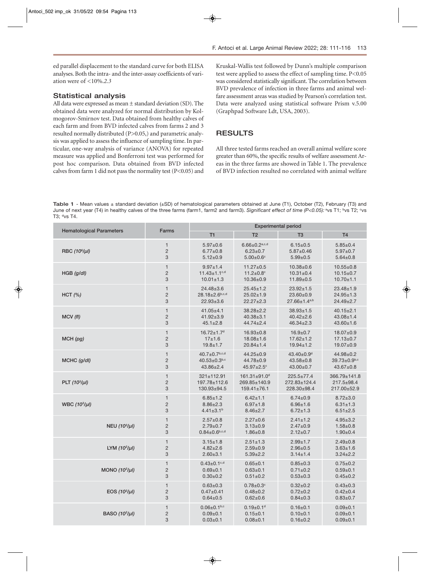ed parallel displacement to the standard curve for both ELISA analyses. Both the intra- and the inter-assay coefficients of variation were of <10%.*2.3* 

### **Statistical analysis**

All data were expressed as mean ± standard deviation (SD). The obtained data were analyzed for normal distribution by Kolmogorov-Smirnov test. Data obtained from healthy calves of each farm and from BVD infected calves from farms 2 and 3 resulted normally distributed (P>0.05,) and parametric analysis was applied to assess the influence of sampling time. In particular, one-way analysis of variance (ANOVA) for repeated measure was applied and Bonferroni test was performed for post hoc comparison. Data obtained from BVD infected calves from farm 1 did not pass the normality test (P<0.05) and

Kruskal-Wallis test followed by Dunn's multiple comparison test were applied to assess the effect of sampling time. P<0.05 was considered statistically significant. The correlation between BVD prevalence of infection in three farms and animal welfare assessment areas was studied by Pearson's correlation test. Data were analyzed using statistical software Prism v.5.00 (Graphpad Software Ldt, USA, 2003).

### **RESULTS**

All three tested farms reached an overall animal welfare score greater than 60%, the specific results of welfare assessment Areas in the three farms are showed in Table 1. The prevalence of BVD infection resulted no correlated with animal welfare

**Table 1** - Mean values ± standard deviation (±SD) of hematological parameters obtained at June (T1), October (T2), February (T3) and June of next year (T4) in healthy calves of the three farms (farm1, farm2 and farm3). Significant effect of time (P<0.05): <sup>a</sup>vs T1; <sup>b</sup>vs T2; <sup>c</sup>vs T3; dvs T4.

| <b>Hematological Parameters</b> | Farms          | <b>Experimental period</b>      |                             |                              |                       |
|---------------------------------|----------------|---------------------------------|-----------------------------|------------------------------|-----------------------|
|                                 |                | T1                              | T <sub>2</sub>              | T <sub>3</sub>               | T <sub>4</sub>        |
| RBC (10 <sup>6</sup> /µl)       | $\mathbf{1}$   | $5.97 \pm 0.6$                  | $6.66 \pm 0.2^{a,c,d}$      | $6.15 \pm 0.5$               | $5.85 \pm 0.4$        |
|                                 | $\overline{2}$ | $6.77 \pm 0.8$                  | $6.23 \pm 0.7$              | $5.87 \pm 0.46$              | $5.97 \pm 0.7$        |
|                                 | 3              | $5.12 \pm 0.9$                  | $5.00 \pm 0.6$ <sup>c</sup> | $5.99 + 0.5$                 | $5.64 \pm 0.8$        |
| HGB (g/dl)                      | $\mathbf{1}$   | $9.97 + 1.4$                    | $11.27 \pm 0.5$             | $10.38 + 0.6$                | $10.55 \pm 0.8$       |
|                                 | $\overline{2}$ | $11.43 \pm 1.1$ c,d             | $11.2 \pm 0.8$ <sup>c</sup> | $10.31 \pm 0.4$              | $10.15 \pm 0.7$       |
|                                 | 3              | $10.01 \pm 1.3$                 | $10.36 \pm 0.9$             | $11.89 \pm 0.5$              | $10.70 \pm 1.1$       |
| HCT (%)                         | $\mathbf{1}$   | $24.48 \pm 3.6$                 | $25.45 \pm 1.2$             | $23.92 \pm 1.5$              | $23.48 \pm 1.9$       |
|                                 | $\overline{c}$ | 28.18±2.6b,c,d                  | $25.02 \pm 1.9$             | $23.60 \pm 0.9$              | $24.95 \pm 1.3$       |
|                                 | 3              | $22.93 \pm 3.6$                 | $22.27 \pm 2.3$             | 27.66±1.4a,b                 | $24.49 \pm 2.7$       |
| MCV (fl)                        | $\mathbf{1}$   | $41.05 \pm 4.1$                 | $38.28 \pm 2.2$             | $38.93 \pm 1.5$              | $40.15 \pm 2.1$       |
|                                 | $\overline{c}$ | $41.92 \pm 3.9$                 | $40.38 \pm 3.1$             | $40.42 \pm 2.6$              | $43.08 \pm 1.4$       |
|                                 | 3              | $45.1 \pm 2.8$                  | $44.74 \pm 2.4$             | $46.34 \pm 2.3$              | $43.60 \pm 1.6$       |
| MCH(pq)                         | $\mathbf{1}$   | $16.72 \pm 1.7$ <sup>d</sup>    | $16.93 \pm 0.8$             | $16.9 \pm 0.7$               | $18.07 \pm 0.9$       |
|                                 | $\overline{2}$ | $17 + 1.6$                      | $18.08 \pm 1.6$             | $17.62 \pm 1.2$              | $17.13 \pm 0.7$       |
|                                 | 3              | $19.8 + 1.7$                    | $20.84 \pm 1.4$             | $19.94 \pm 1.2$              | $19.07 \pm 0.9$       |
| MCHC (q/dl)                     | $\mathbf{1}$   | $40.7 \pm 0.7$ <sup>b,c,d</sup> | $44.25 \pm 0.9$             | $43.40 \pm 0.9$ <sup>d</sup> | $44.98 \pm 0.2$       |
|                                 | $\overline{c}$ | $40.53 \pm 0.3^{b,c}$           | 44.78±0.9                   | $43.58 \pm 0.8$              | $39.73 \pm 0.9^{b,c}$ |
|                                 | 3              | $43.86 \pm 2.4$                 | $45.97 \pm 2.5$ °           | $43.00 \pm 0.7$              | $43.67 \pm 0.8$       |
| PLT $(10^3/\mu l)$              | $\mathbf{1}$   | $321 \pm 112.91$                | 161.31±91.0 <sup>d</sup>    | 225.5±77.4                   | 366.79±141.8          |
|                                 | $\overline{2}$ | 197.78±112.6                    | 269.85±140.9                | 272.83±124.4                 | $217.5 \pm 98.4$      |
|                                 | 3              | 130.93±94.5                     | $159.41 \pm 76.1$           | 228.30±98.4                  | 217.00±52.9           |
| WBC $(10^3/\mu l)$              | $\mathbf{1}$   | $6.85 \pm 1.2$                  | $6.42 \pm 1.1$              | $6.74 \pm 0.9$               | $8.72 \pm 3.0$        |
|                                 | $\overline{2}$ | $8.86 \pm 2.3$                  | $6.97 + 1.8$                | $6.96 + 1.6$                 | $6.31 \pm 1.3$        |
|                                 | 3              | $4.41 \pm 3.1^b$                | $8.46 \pm 2.7$              | $6.72 \pm 1.3$               | $6.51 \pm 2.5$        |
| NEU $(10^3/\mu l)$              | $\mathbf{1}$   | $2.57 + 0.8$                    | $2.27 \pm 0.6$              | $2.41 \pm 1.2$               | $4.95 + 3.2$          |
|                                 | $\overline{2}$ | $2.79 \pm 0.7$                  | $3.13 \pm 0.9$              | $2.47 + 0.9$                 | $1.58 + 0.8$          |
|                                 | 3              | $0.84 \pm 0.6^{b,c,d}$          | $1.86 + 0.8$                | $2.12 \pm 0.7$               | $1.90 + 0.4$          |
| LYM $(10^3/\mu l)$              | $\mathbf{1}$   | $3.15 \pm 1.8$                  | $2.51 \pm 1.3$              | $2.99 + 1.7$                 | $2.49 \pm 0.8$        |
|                                 | $\overline{2}$ | $4.82 \pm 2.6$                  | $2.59 + 0.9$                | $2.96 + 0.5$                 | $3.63 \pm 1.6$        |
|                                 | 3              | $2.60 + 3.1$                    | $5.39 \pm 2.2$              | $3.14 \pm 1.4$               | $3.24 \pm 2.2$        |
| MONO $(10^3/\mu l)$             | $\mathbf{1}$   | $0.43 \pm 0.1$ c,d              | $0.65 + 0.1$                | $0.85 + 0.3$                 | $0.75 \pm 0.2$        |
|                                 | $\overline{2}$ | $0.69 + 0.1$                    | $0.63 + 0.1$                | $0.71 \pm 0.2$               | $0.59 + 0.1$          |
|                                 | 3              | $0.30 \pm 0.2$                  | $0.51 + 0.2$                | $0.53 + 0.3$                 | $0.45 \pm 0.2$        |
| EOS $(10^3/\mu l)$              | $\mathbf{1}$   | $0.63 + 0.3$                    | $0.78 \pm 0.3$ <sup>c</sup> | $0.32 \pm 0.2$               | $0.43 + 0.3$          |
|                                 | $\overline{c}$ | $0.47 + 0.41$                   | $0.48 + 0.2$                | $0.72 \pm 0.2$               | $0.42 \pm 0.4$        |
|                                 | 3              | $0.64 \pm 0.5$                  | $0.62 + 0.6$                | $0.84 \pm 0.3$               | $0.83 + 0.7$          |
| BASO $(10^3/\mu l)$             | $\mathbf{1}$   | $0.06 \pm 0.1^{b,c}$            | $0.19 \pm 0.1$ <sup>d</sup> | $0.16 + 0.1$                 | $0.09 + 0.1$          |
|                                 | $\overline{2}$ | $0.09 + 0.1$                    | $0.15 + 0.1$                | $0.10 + 0.1$                 | $0.09 + 0.1$          |
|                                 | 3              | $0.03 + 0.1$                    | $0.08 + 0.1$                | $0.16 + 0.2$                 | $0.09 + 0.1$          |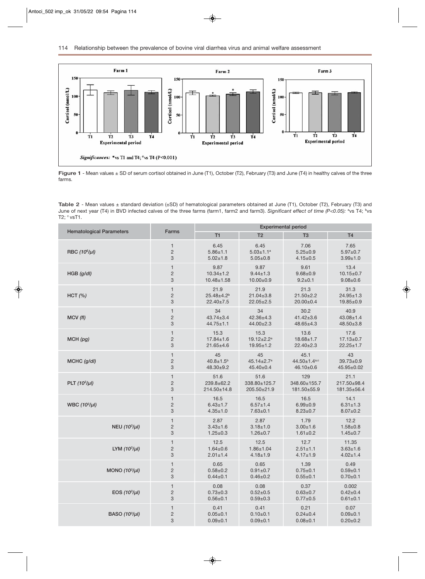

**Figure 1** - Mean values ± SD of serum cortisol obtained in June (T1), October (T2), February (T3) and June (T4) in healthy calves of the three farms.

**Table 2** - Mean values ± standard deviation (±SD) of hematological parameters obtained at June (T1), October (T2), February (T3) and June of next year (T4) in BVD infected calves of the three farms (farm1, farm2 and farm3). Significant effect of time (P<0.05): <sup>a</sup>vs T4; <sup>b</sup>vs T2;  $\circ$  vsT1.

| <b>Hematological Parameters</b> | Farms          | <b>Experimental period</b> |                              |                 |                 |  |
|---------------------------------|----------------|----------------------------|------------------------------|-----------------|-----------------|--|
|                                 |                | T1                         | T <sub>2</sub>               | T <sub>3</sub>  | <b>T4</b>       |  |
| RBC (10 <sup>6</sup> /µl)       | 1              | 6.45                       | 6.45                         | 7.06            | 7.65            |  |
|                                 | $\overline{2}$ | $5.86 \pm 1.1$             | $5.03 \pm 1.1$ <sup>a</sup>  | $5.25 \pm 0.9$  | $5.97 + 0.7$    |  |
|                                 | 3              | $5.02 \pm 1.8$             | $5.05 \pm 0.8$               | $4.15 \pm 0.5$  | $3.99 + 1.0$    |  |
| HGB (q/dl)                      | $\mathbf{1}$   | 9.87                       | 9.87                         | 9.61            | 13.4            |  |
|                                 | $\overline{2}$ | $10.34 \pm 1.2$            | $9.44 \pm 1.3$               | $9.68 + 0.9$    | $10.15 \pm 0.7$ |  |
|                                 | 3              | $10.48 \pm 1.58$           | $10.00 \pm 0.9$              | $9.2 \pm 0.1$   | $9.08 + 0.6$    |  |
| HCT (%)                         | $\mathbf{1}$   | 21.9                       | 21.9                         | 21.3            | 31.3            |  |
|                                 | $\overline{2}$ | $25.48{\pm}4.2^{b}$        | $21.04 \pm 3.8$              | $21.50 \pm 2.2$ | $24.95 \pm 1.3$ |  |
|                                 | 3              | $22.40 \pm 7.5$            | $22.05 \pm 2.5$              | $20.00 \pm 0.4$ | 19.85±0.9       |  |
| MCV(fI)                         | $\mathbf{1}$   | 34                         | 34                           | 30.2            | 40.9            |  |
|                                 | $\overline{2}$ | $43.74 \pm 3.4$            | $42.36 \pm 4.3$              | $41.42 \pm 3.6$ | $43.08 \pm 1.4$ |  |
|                                 | 3              | $44.75 \pm 1.1$            | $44.00 \pm 2.3$              | $48.65 \pm 4.3$ | $48.50 \pm 3.8$ |  |
| MCH(pg)                         | $\mathbf{1}$   | 15.3                       | 15.3                         | 13.6            | 17.6            |  |
|                                 | $\overline{2}$ | $17.84 \pm 1.6$            | $19.12 \pm 2.2^a$            | $18.68 \pm 1.7$ | $17.13 \pm 0.7$ |  |
|                                 | 3              | $21.65 \pm 4.6$            | $19.95 \pm 1.2$              | $22.40 \pm 2.3$ | $22.25 \pm 1.7$ |  |
| MCHC (g/dl)                     | $\mathbf{1}$   | 45                         | 45                           | 45.1            | 43              |  |
|                                 | $\overline{c}$ | $40.8 \pm 1.5^b$           | $45.14 \pm 2.7$ <sup>a</sup> | 44.50±1.4a,c    | $39.73 \pm 0.9$ |  |
|                                 | 3              | $48.30+9.2$                | $45.40 \pm 0.4$              | 46.10±0.6       | 45.95±0.02      |  |
| PLT $(10^3/\mu l)$              | $\mathbf{1}$   | 51.6                       | 51.6                         | 129             | 21.1            |  |
|                                 | $\overline{2}$ | 239.8±62.2                 | 338.80±125.7                 | 348.60±155.7    | 217.50±98.4     |  |
|                                 | 3              | 214.50±14.8                | 205.50±21.9                  | 181.50±55.9     | 181.35±56.4     |  |
| WBC $(10^3/\mu l)$              | $\mathbf{1}$   | 16.5                       | 16.5                         | 16.5            | 14.1            |  |
|                                 | $\overline{2}$ | $6.43 \pm 1.7$             | $6.57 \pm 1.4$               | $6.99 + 0.9$    | $6.31 \pm 1.3$  |  |
|                                 | 3              | $4.35 \pm 1.0$             | $7.63 + 0.1$                 | $8.23 \pm 0.7$  | $8.07 \pm 0.2$  |  |
| NEU $(10^3/\mu l)$              | $\mathbf{1}$   | 2.87                       | 2.87                         | 1.79            | 12.2            |  |
|                                 | $\overline{c}$ | $3.43 \pm 1.6$             | $3.18 + 1.0$                 | $3.00 + 1.6$    | $1.58 + 0.8$    |  |
|                                 | 3              | $1.25 \pm 0.3$             | $1.26 \pm 0.7$               | $1.61 \pm 0.2$  | $1.45 \pm 0.7$  |  |
| LYM $(10^3/\mu l)$              | $\mathbf{1}$   | 12.5                       | 12.5                         | 12.7            | 11.35           |  |
|                                 | $\overline{2}$ | $1.64 \pm 0.6$             | $1.86 \pm 1.04$              | $2.51 \pm 1.1$  | $3.63 + 1.6$    |  |
|                                 | 3              | $2.01 \pm 1.4$             | $4.18 + 1.9$                 | $4.17 \pm 1.9$  | $4.02 \pm 1.4$  |  |
| MONO $(10^3/\mu l)$             | $\mathbf{1}$   | 0.65                       | 0.65                         | 1.39            | 0.49            |  |
|                                 | $\overline{2}$ | $0.58 + 0.2$               | $0.91 \pm 0.7$               | $0.75 \pm 0.1$  | $0.59 + 0.1$    |  |
|                                 | 3              | $0.44 \pm 0.1$             | $0.46 \pm 0.2$               | $0.55 + 0.1$    | $0.70 + 0.1$    |  |
| EOS $(10^3/\mu l)$              | $\mathbf{1}$   | 0.08                       | 0.08                         | 0.37            | 0.002           |  |
|                                 | $\overline{2}$ | $0.73 \pm 0.3$             | $0.52 \pm 0.5$               | $0.63 + 0.7$    | $0.42 \pm 0.4$  |  |
|                                 | 3              | $0.56 + 0.1$               | $0.59 + 0.3$                 | $0.77 + 0.5$    | $0.61 + 0.1$    |  |
| BASO $(10^3/\mu l)$             | $\mathbf{1}$   | 0.41                       | 0.41                         | 0.21            | 0.07            |  |
|                                 | $\overline{2}$ | $0.05 \pm 0.1$             | $0.10+0.1$                   | $0.24 \pm 0.4$  | $0.09 + 0.1$    |  |
|                                 | 3              | $0.09 + 0.1$               | $0.09 + 0.1$                 | $0.08 + 0.1$    | $0.20 + 0.2$    |  |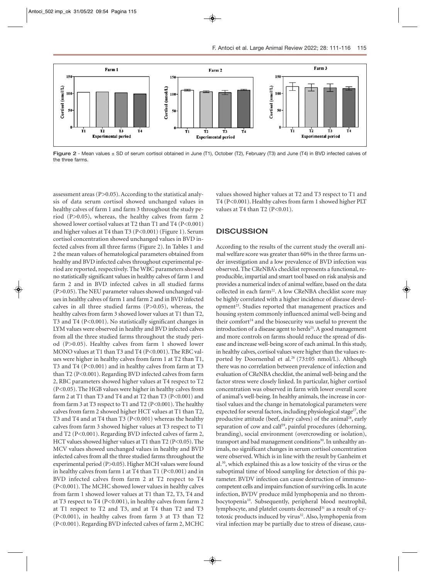

**Figure 2** - Mean values ± SD of serum cortisol obtained in June (T1), October (T2), February (T3) and June (T4) in BVD infected calves of the three farms.

assessment areas  $(P>0.05)$ . According to the statistical analysis of data serum cortisol showed unchanged values in healthy calves of farm 1 and farm 3 throughout the study period (P>0.05), whereas, the healthy calves from farm 2 showed lower cortisol values at T2 than T1 and T4 (P<0.001) and higher values at T4 than T3 (P<0.001) (Figure 1). Serum cortisol concentration showed unchanged values in BVD infected calves from all three farms (Figure 2). In Tables 1 and 2 the mean values of hematological parameters obtained from healthy and BVD infected calves throughout experimental period are reported, respectively. The WBC parameters showed no statistically significant values in healthy calves of farm 1 and farm 2 and in BVD infected calves in all studied farms (P>0.05). The NEU parameter values showed unchanged values in healthy calves of farm 1 and farm 2 and in BVD infected calves in all three studied farms (P>0.05), whereas, the healthy calves from farm 3 showed lower values at T1 than T2, T3 and T4 (P<0.001). No statistically significant changes in LYM values were observed in healthy and BVD infected calves from all the three studied farms throughout the study period (P>0.05). Healthy calves from farm 1 showed lower MONO values at T1 than T3 and T4 (P<0.001). The RBC values were higher in healthy calves from farm 1 at T2 than T1, T3 and T4 (P<0.001) and in healthy calves from farm at T3 than T2 (P<0.001). Regarding BVD infected calves from farm 2, RBC parameters showed higher values at T4 respect to T2 (P<0.05). The HGB values were higher in healthy calves from farm 2 at T1 than T3 and T4 and at T2 than T3 (P<0.001) and from farm 3 at T3 respect to T1 and T2 (P<0.001). The healthy calves from farm 2 showed higher HCT values at T1 than T2, T3 and T4 and at T4 than T3 (P<0.001) whereas the healthy calves from farm 3 showed higher values at T3 respect to T1 and T2 (P<0.001). Regarding BVD infected calves of farm 2, HCT values showed higher values at T1 than T2 (P<0.05). The MCV values showed unchanged values in healthy and BVD infected calves from all the three studied farms throughout the experimental period (P>0.05). Higher MCH values were found in healthy calves from farm 1 at T4 than T1 (P<0.001) and in BVD infected calves from farm 2 at T2 respect to T4 (P<0.001). The MCHC showed lower values in healthy calves from farm 1 showed lower values at T1 than T2, T3, T4 and at T3 respect to T4 ( $P<0.001$ ), in healthy calves from farm 2 at T1 respect to T2 and T3, and at T4 than T2 and T3 (P<0.001), in healthy calves from farm 3 at T3 than T2 (P<0.001). Regarding BVD infected calves of farm 2, MCHC

values showed higher values at T2 and T3 respect to T1 and T4 (P<0.001). Healthy calves from farm 1 showed higher PLT values at T4 than T2  $(P<0.01)$ .

#### **DISCUSSION**

According to the results of the current study the overall animal welfare score was greater than 60% in the three farms under investigation and a low prevalence of BVD infection was observed. The CReNBA's checklist represents a functional, reproducible, impartial and smart tool based on risk analysis and provides a numerical index of animal welfare, based on the data collected in each farm<sup>22</sup>. A low CReNBA checklist score may be highly correlated with a higher incidence of disease development<sup>23</sup>. Studies reported that management practices and housing system commonly influenced animal well-being and their comfort<sup>24</sup> and the biosecurity was useful to prevent the introduction of a disease agent to herds<sup>25</sup>. A good management and more controls on farms should reduce the spread of disease and increase well-being score of each animal. In this study, in healthy calves, cortisol values were higher than the values reported by Doornenbal et al.<sup>26</sup> (73±05 nmol/L). Although there was no correlation between prevalence of infection and evaluation of CReNBA checklist, the animal well-being and the factor stress were closely linked. In particular, higher cortisol concentration was observed in farm with lower overall score of animal's well-being. In healthy animals, the increase in cortisol values and the change in hematological parameters were expected for several factors, including physiological stage<sup>27</sup>, the productive attitude (beef, dairy calves) of the animal<sup>28</sup>, early separation of cow and calf<sup>29</sup>, painful procedures (dehorning, branding), social environment (overcrowding or isolation), transport and bad management conditions<sup>30</sup>. In unhealthy animals, no significant changes in serum cortisol concentration were observed. Which is in line with the result by Ganheim et al.30, which explained this as a low toxicity of the virus or the suboptimal time of blood sampling for detection of this parameter. BVDV infection can cause destruction of immunocompetent cells and impairs function of surviving cells. In acute infection, BVDV produce mild lymphopenia and no thrombocytopenia<sup>10</sup>. Subsequently, peripheral blood neutrophil, lymphocyte, and platelet counts decreased<sup>31</sup> as a result of cytotoxic products induced by virus<sup>32</sup>. Also, lymphopenia from viral infection may be partially due to stress of disease, caus